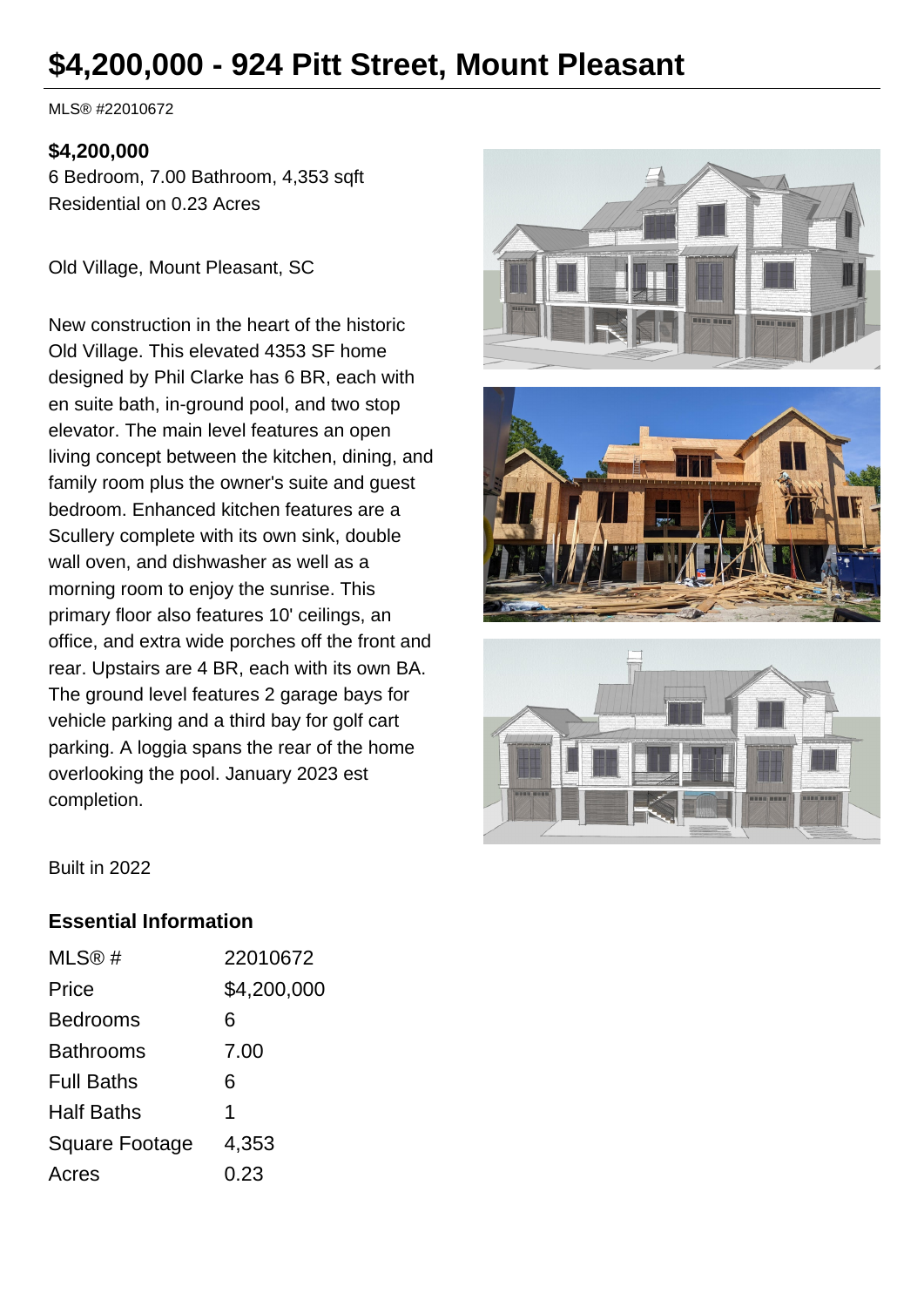# **\$4,200,000 - 924 Pitt Street, Mount Pleasant**

MLS® #22010672

#### **\$4,200,000**

6 Bedroom, 7.00 Bathroom, 4,353 sqft Residential on 0.23 Acres

Old Village, Mount Pleasant, SC

New construction in the heart of the historic Old Village. This elevated 4353 SF home designed by Phil Clarke has 6 BR, each with en suite bath, in-ground pool, and two stop elevator. The main level features an open living concept between the kitchen, dining, and family room plus the owner's suite and guest bedroom. Enhanced kitchen features are a Scullery complete with its own sink, double wall oven, and dishwasher as well as a morning room to enjoy the sunrise. This primary floor also features 10' ceilings, an office, and extra wide porches off the front and rear. Upstairs are 4 BR, each with its own BA. The ground level features 2 garage bays for vehicle parking and a third bay for golf cart parking. A loggia spans the rear of the home overlooking the pool. January 2023 est completion.





Built in 2022

#### **Essential Information**

| MLS@#             | 22010672    |
|-------------------|-------------|
| Price             | \$4,200,000 |
| Bedrooms          | 6           |
| Bathrooms         | 7.00        |
| <b>Full Baths</b> | 6           |
| Half Baths        | 1           |
| Square Footage    | 4,353       |
| Acres             | 0.23        |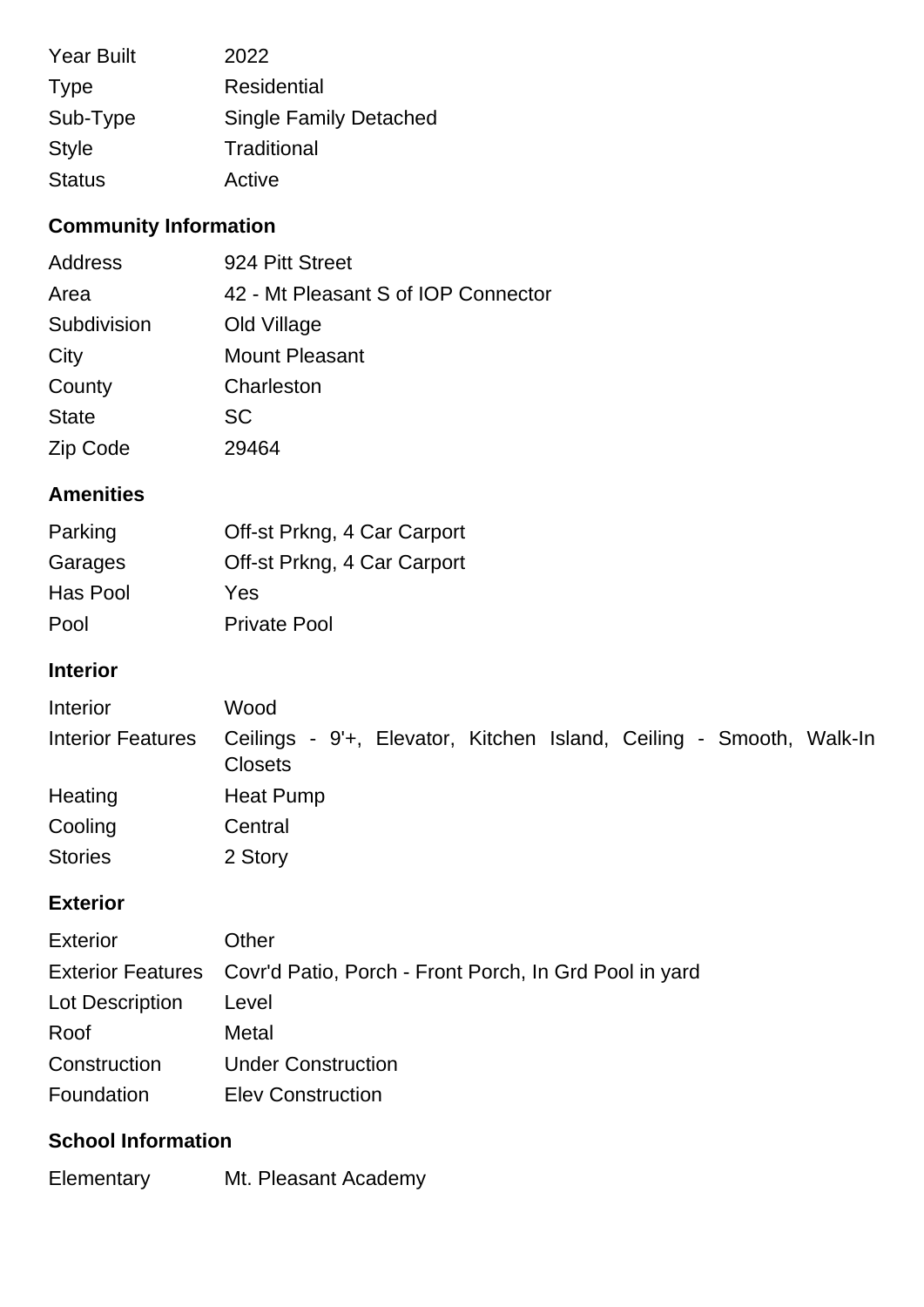| <b>Year Built</b> | 2022                          |
|-------------------|-------------------------------|
| <b>Type</b>       | Residential                   |
| Sub-Type          | <b>Single Family Detached</b> |
| <b>Style</b>      | Traditional                   |
| <b>Status</b>     | Active                        |

# **Community Information**

| Address      | 924 Pitt Street                     |
|--------------|-------------------------------------|
| Area         | 42 - Mt Pleasant S of IOP Connector |
| Subdivision  | Old Village                         |
| City         | <b>Mount Pleasant</b>               |
| County       | Charleston                          |
| <b>State</b> | <b>SC</b>                           |
| Zip Code     | 29464                               |

## **Amenities**

| Parking  | Off-st Prkng, 4 Car Carport |
|----------|-----------------------------|
| Garages  | Off-st Prkng, 4 Car Carport |
| Has Pool | Yes                         |
| Pool     | <b>Private Pool</b>         |

## **Interior**

| Interior          | Wood                                                                                  |
|-------------------|---------------------------------------------------------------------------------------|
| Interior Features | Ceilings - 9'+, Elevator, Kitchen Island, Ceiling - Smooth, Walk-In<br><b>Closets</b> |
| Heating           | Heat Pump                                                                             |
| Cooling           | Central                                                                               |
| <b>Stories</b>    | 2 Story                                                                               |

## **Exterior**

| Exterior        | Other                                                                    |
|-----------------|--------------------------------------------------------------------------|
|                 | Exterior Features Covr'd Patio, Porch - Front Porch, In Grd Pool in yard |
| Lot Description | Level                                                                    |
| Roof            | Metal                                                                    |
| Construction    | <b>Under Construction</b>                                                |
| Foundation      | <b>Elev Construction</b>                                                 |

## **School Information**

Elementary Mt. Pleasant Academy